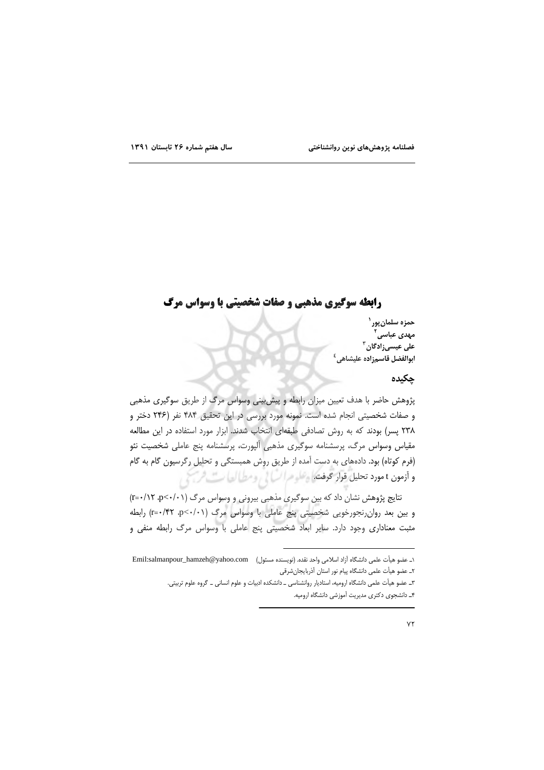# **رابطه سوگیری مذهبی و صفات شخصیتی با وسواس مرگ**

حمزه سلمان پور ` مهدی عباسی<sup>۲</sup> على عيسىزادگان<sup>۳</sup> ابوالفضل قاسمزاده عليشاهي<sup>٤</sup>

### چکیدہ

پژوهش حاضر با هدف تعیین میزان رابطه و پیش بینی وسواس مرگ از طریق سوگیری مذهبی و صفات شخصیتی انجام شده است. نمونه مورد بررسی در این تحقیق ۴۸۴ نفر (۲۴۶ دختر و ٢٣٨ پسر) بودند كه به روش تصادفى طبقهاى انتخاب شدند. ابزار مورد استفاده در اين مطالعه مقیاس وسواس مرگ، پرسشنامه سوگیری مذهبی اَلیورت، پرسشنامه پنج عاملی شخصیت نئو (فرم کوتاه) بود. دادههای به دست آمده از طریق روش همبستگی و تحلیل رگرسیون گام به گام و أزمون t مورد تحليل قوار تحرفتُكما وعلموم السَّالي ومطالعات فرسمَ من

نتایج پژوهش نشان داد که بین سوگیری مذهبی بیرونی و وسواس مرگ (۲۰۱۱-۲۶) ۲۰/۱۲ و بین بعد روان رنجورخویی شخصیتی پنج عاملی با وسواس مرگ (1٠/٠>m=٠/۴۲ رابطه مثبت معناداری وجود دارد. سایر ابعاد شخصیتی پنج عاملی با وسواس مرگ رابطه منفی و

١ـ عضو هيأت علمي دانشگاه آزاد اسلامي واحد نقده. (نويسنده مسئول) \_\_Emil:salmanpour\_hamzeh@yahoo.com ٢ـ عضو هيأت علمي دانشگاه پيام نور استان أذربايجانشرقي

۳ـ عضو هيأت علمي دانشگاه اروميه، استاديار روانشناسي ــ دانشكده ادبيات و علوم انساني ــ گروه علوم تربيتي. ۴\_ دانشجوی دکتری مدیریت آموزشی دانشگاه ارومیه.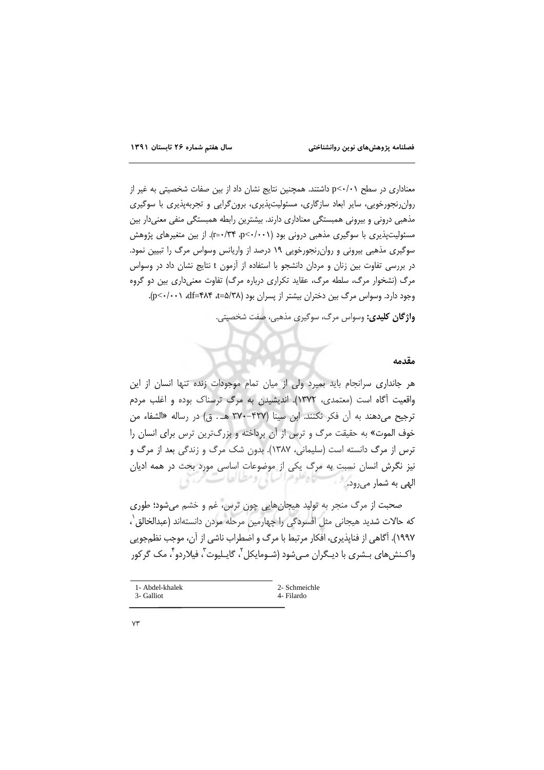معناداری در سطح p<-/+) داشتند. همچنین نتایج نشان داد از بین صفات شخصیتی به غیر از روان رنجورخویی، سایر ابعاد سازگاری، مسئولیتپذیری، برون گرایی و تجربهپذیری با سوگیری مذهبی درونی و بیرونی همبستگی معناداری دارند. بیشترین رابطه همبستگی منفی معنیدار بین مسئولیتپذیری با سوگیری مذهبی درونی بود (p<-/r>+/٣۴ p<-/r). از بین متغیرهای پژوهش سوگیری مذهبی بیرونی و روان رنجورخویی ۱۹ درصد از واریانس وسواس مرگ را تبیین نمود. در بررسی تفاوت بین زنان و مردان دانشجو با استفاده از آزمون t نتایج نشان داد در وسواس مرگ (نشخوار مرگ، سلطه مرگ، عقاید تکراری درباره مرگ) تفاوت معنیداری بین دو گروه وجود دارد. وسواس مرگ بین دختران بیشتر از پسران بود (۵/۳۸=، ۵۴+=۴۸۴، p<۰/۰۰۱).

واژگان کلیدی: وسواس مرگ، سوگیری مذهبی، صفت شخصیتی.

#### مقدمه

هر جانداری سرانجام باید بمیرد ولی از میان تمام موجودات زنده تنها انسان از این واقعیت آگاه است (معتمدی، ۱۳۷۲). اندیشیدن به مرگ ترسناک بوده و اغلب مردم ترجيح مي دهند به آن فكر نكنند. ابن سينا (۴۲۷-۳۷۰ هـ. ق) در رساله «الشفاء من خوف الموت» به حقیقت مرگ و ترس از آن پرداخته و بزرگترین ترس برای انسان را ترس از مرگ دانسته است (سلیمانی، ۱۳۸۷). بدون شک مرگ و زندگی بعد از مرگ و نیز نگرش انسان نسبت به مرگ یکی از موضوعات اساسی مورد بحث در همه ادیان حاه تعوهرا سيائي ومطيالعات الھی به شمار می رود.

صحبت از مرگ منجر به تولید هیجانهایی چون ترس، غم و خشم می شود؛ طوری كه حالات شديد هيجاني مثل افسردگي را چهارمين مرحله مردن دانستهاند (عبدالخالق`، ١٩٩٧). آگاهي از فنايذيري، افكار مرتبط با مرگ و اضطراب ناشي از آن، موجب نظمجويي واکـنش های بـشری با دیـگران مـی شود (شـومایکل <sup>۲</sup>، گایـلیوت ّ، فیلاردو <sup>۴</sup>، مک گر کور

| 1- Abdel-khalek | 2- Schmeichle |
|-----------------|---------------|
| 3- Galliot      | 4- Filardo    |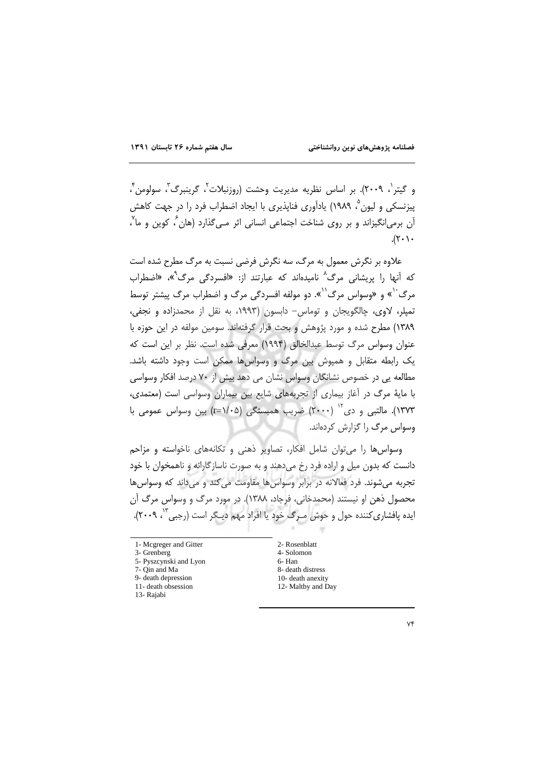و گيتر`، ٢٠٠٩). بر اساس نظريه مديريت وحشت (روزنبلات`، گرينبرگ`، سولومن`، پیزنسکی و لیون ؓ، ۱۹۸۹) یادآوری فناپذیری با ایجاد اضطراب فرد را در جهت کاهش اَن برمی|نگیزاند و بر روی شناخت اجتماعی انسانی اثر مے گذارد (هان ٔ کوین و ما<sup>۷</sup>،  $(\uparrow \cdot )$ .

علاوه بر نگرش معمول به مرگ، سه نگرش فرضی نسبت به مرگ مطرح شده است که آنها را پریشانی مرگ<sup>^</sup> نامیدهاند که عبارتند از: «افسردگی مرگ<sup>^</sup>»، «اضطراب مرگ<sup>۰٬</sup>» و «وسواس مرگ<sup>۰٬</sup>». دو مولفه افسردگی مرگ و اضطراب مرگ پیشتر توسط تميلر، لاوى، چالگويجان و توماس- دابسون (١٩٩٣، به نقل از محمدزاده و نجفى، ١٣٨٩) مطرح شده و مورد پژوهش و بحث قرار گرفتهاند. سومين مولفه در اين حوزه با عنوان وسواس مرگ توسط عبدالخالق (۱۹۹۴) معرفی شده است. نظر بر این است که یک رابطه متقابل و همیوش بین مرگ و وسواس ها ممکن است وجود داشته باشد. مطالعه یی در خصوص نشانگان وسواس نشان می دهد بیش از ۷۰ درصد افکار وسواسی با مایهٔ مرگ در آغاز بیماری از تجربههای شایع بین بیماران وسواسی است (معتمدی، ۱۳۷۳). مالتبی و دی<sup>۱۲</sup> (۲۰۰۰) ضریب همبستگی (x-۱/۰۵) بین وسواس عمومی با وسواس مرگ را گزارش کردهاند.

وسواس ها را می توان شامل افکار، تصاویر ذهنی و تکانههای ناخواسته و مزاحم دانست که بدون میل و اراده فرد رخ می دهند و به صورت ناسازگارانه و ناهمخوان با خود تجربه می شوند. فرد فعالانه در برابر وسواس ها مقاومت می کند و می داند که وسواس ها محصول ذهن او نيستند (محمدخاني، فرجاد، ١٣٨٨). در مورد مرگ و وسواس مرگ آن ایده پافشاری کننده حول و حوش مـرگ خود یا افراد مهم دیـگر است (رجبی<sup>۱۲</sup>، ۲۰۰۹).

3- Grenberg

- 5- Pyszcynski and Lyon 7- Qin and Ma
- 9- death depression
- 
- 11- death obsession
- 13- Rajabi

2- Rosenblatt 4- Solomon 6-Han 8- death distress 10- death anexity 12- Maltby and Day

<sup>1-</sup> Mcgreger and Gitter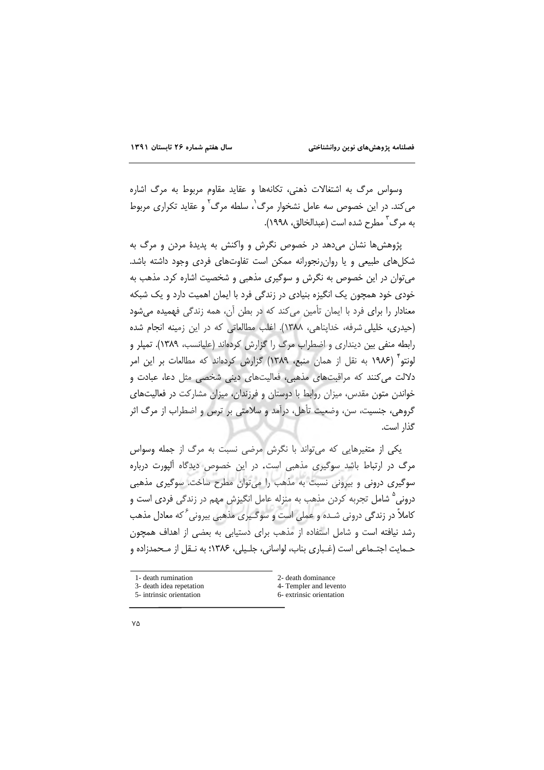وسواس مرگ به اشتغالات ذهنی، تکانهها و عقاید مقاوم مربوط به مرگ اشاره می کند. در این خصوص سه عامل نشخوار مرگ`، سلطه مرگ` و عقاید تکراری مربوط به مرگ ٔ مطرح شده است (عبدالخالق، ۱۹۹۸).

پژوهش ها نشان می دهد در خصوص نگرش و واکنش به پدیدهٔ مردن و مرگ به شکلهای طبیعی و یا روان رنجورانه ممکن است تفاوتهای فردی وجود داشته باشد. میتوان در این خصوص به نگرش و سوگیری مذهبی و شخصیت اشاره کرد. مذهب به خودی خود همچون یک انگیزه بنیادی در زندگی فرد با ایمان اهمیت دارد و یک شبکه معنادار را برای فرد با ایمان تأمین میکند که در بطن آن، همه زندگی فهمیده می شود (حیدری، خلیلی شرفه، خدایناهی، ۱۳۸۸). اغلب مطالعاتی که در این زمینه انجام شده رابطه منفی بین دینداری و اضطراب مرگ را گزارش کردهاند (علیانسب، ۱۳۸۹). تمپلر و لونتو (١٩٨۶ به نقل از همان منبع، ١٣٨٩) گزارش كردهاند كه مطالعات بر اين امر دلالت می کنند که مراقبتهای مذهبی، فعالیتهای دینی شخصی مثل دعا، عبادت و خواندن متون مقدس، میزان روابط با دوستان و فرزندان، میزان مشارکت در فعالیتهای گروهی، جنسیت، سن، وضعیت تأهل، درآمد و سلامتی بر ترس و اضطراب از مرگ اثر گذار است.

یکی از متغیرهایی که میتواند با نگرش مرضی نسبت به مرگ از جمله وسواس مرگ در ارتباط باشد سوگیری مذهبی است. در این خصوص دیدگاه آلپورت درباره سوگیری درونی و بیرونی نسبت به مذهب را میتوان مطرح ساخت. سوگیری مذهبی درونی ° شامل تجربه کردن مذهب به منزله عامل انگیزش مهم در زندگی فردی است و کاملاً در زندگی درونی شـده و عملی است و سوگـیری مذهبی بیرونی<sup>۶</sup> که معادل مذهب رشد نیافته است و شامل استفاده از مذهب برای دستیابی به بعضی از اهداف همچون حـمايت اجتـماعي است (غـباري بناب، لواساني، جلـيلي، ۱۳۸۶؛ به نـقل از مـحمدزاده و

| 1- death rumination      | 2- death dominance       |
|--------------------------|--------------------------|
| 3- death idea repetation | 4- Templer and levento   |
| 5- intrinsic orientation | 6- extrinsic orientation |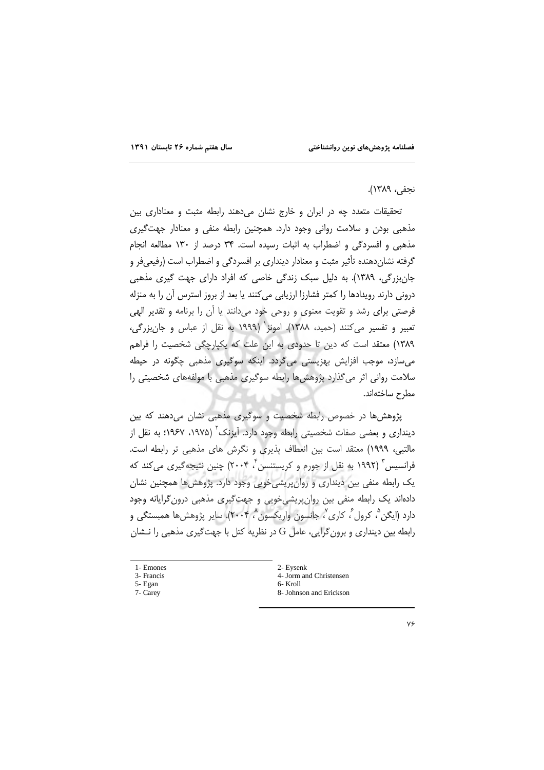### نجفي، ١٣٨٩).

تحقیقات متعدد چه در ایران و خارج نشان میدهند رابطه مثبت و معناداری بین مذهبي بودن و سلامت رواني وجود دارد. همچنين رابطه منفي و معنادار جهت گيري مذهبی و افسردگی و اضطراب به اثبات رسیده است. ۳۴ درصد از ۱۳۰ مطالعه انجام گرفته نشاندهنده تأثیر مثبت و معنادار دینداری بر افسردگی و اضطراب است (رفیعیفر و جان بزرگی، ۱۳۸۹). به دلیل سبک زندگی خاصی که افراد دارای جهت گیری مذهبی درونی دارند رویدادها را کمتر فشارزا ارزیابی میکنند یا بعد از بروز استرس آن را به منزله فرصتی برای رشد و تقویت معنوی و روحی خود میدانند یا آن را برنامه و تقدیر الهی تعبير و تفسير مي كنند (حميد، ١٣٨٨). امونز<sup>(</sup> (١٩٩٩ به نقل از عباس و جان بزرگي، ١٣٨٩) معتقد است كه دين تا حدودي به اين علت كه يكپارچگي شخصيت را فراهم می سازد، موجب افزایش بهزیستی می گردد. اینکه سوگیری مذهبی چگونه در حیطه سلامت روانی اثر می گذارد پژوهش ها رابطه سوگیری مذهبی با مولفههای شخصیتی را مطرح ساختهاند.

پژوهش ها در خصوص رابطه شخصیت و سوگیری مذهبی نشان میدهند که بین دینداری و بعضی صفات شخصیتی رابطه وجود دارد. آیزنک (۱۹۷۵، ۱۹۶۷؛ به نقل از مالتبي، ١٩٩٩) معتقد است بين انعطاف پذيري و نگرش هاي مذهبي تر رابطه است. فرانسیس ۳ (۱۹۹۲ به نقل از جورم و کریستنسن ۳ ۲۰۰۴) چنین نتیجهگیری می کند که یک رابطه منفی بین دینداری و روانپریشیخویی وجود دارد. پژوهشها همچنین نشان دادهاند یک رابطه منفی بین روان پریشی خویی و جهت گیری مذهبی درون گرایانه وجود دارد (ایگن <sup>م</sup> کرول ً، کاری ٌ، جانسون واریکسون **ْ، ۲۰۰۴)**. سایر پژوهشها همبستگی و رابطه بین دینداری و برون گرایی، عامل G در نظریه کتل با جهتگیری مذهبی را نـشان

- 1- Emones
- 3- Francis
- 5- Egan 7- Carey
	-
- 2- Eysenk
- 4- Jorm and Christensen
- 6- Kroll
- 8- Johnson and Erickson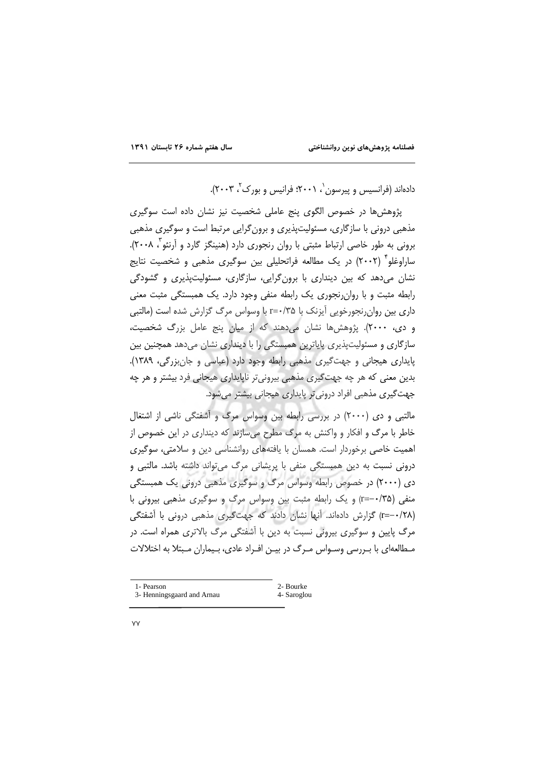دادهاند (فرانسیس و پیرسون `، ۲۰۰۱؛ فرانیس و بورک `، ۲۰۰۳).

پژوهش ها در خصوص الگوی پنج عاملی شخصیت نیز نشان داده است سوگیری مذهبی درونی با سازگاری، مسئولیتپذیری و برون گرایی مرتبط است و سوگیری مذهبی برونی به طور خاصی ارتباط مثبتی با روان رنجوری دارد (هنینگز گارد و آرنئو ، ۲۰۰۸). ساراوغلو ٌ (۲۰۰۲) در یک مطالعه فراتحلیلی بین سوگیری مذهبی و شخصیت نتایج نشان می دهد که بین دینداری با برون گرایی، سازگاری، مسئولیتپذیری و گشودگی رابطه مثبت و با روان رنجوری یک رابطه منفی وجود دارد. یک همبستگی مثبت معنی داری بین روان رنجورخویی آیزنک با r=۰/۳۵ با وسواس مرگ گزارش شده است (مالتبی و دی، ٢٠٠٠). پژوهشها نشان می دهند که از میان پنج عامل بزرگ شخصیت، سازگاری و مسئولیتپذیری پایاترین همبستگی را با دینداری نشان میدهد همچنین بین پایداری هیجانی و جهت گیری مذهبی رابطه وجود دارد (عباسی و جانبزرگی، ۱۳۸۹). بدین معنی که هر چه جهتگیری مذهبی بیرونیتر ناپایداری هیجانی فرد بیشتر و هر چه جهت گیری مذهبی افراد درونی تر پایداری هیجانی بیشتر میشود.

مالتبی و دی (۲۰۰۰) در بررسی رابطه بین وسواس مرگ و آشفتگی ناشی از اشتغال خاطر با مرگ و افکار و واکنش به مرگ مطرح می سازند که دینداری در این خصوص از اهمیت خاصی برخوردار است. همسان با یافتههای روانشناسی دین و سلامتی، سوگیری درونی نسبت به دین همیستگی منفی با پریشانی مرگ می تواند داشته باشد. مالتبی و دی (۲۰۰۰) در خصوص رابطه وسواس مرگ و سوگیری مذهبی درونی یک همبستگی منفی (۳۵/-=r) و یک رابطه مثبت بین وسواس مرگ و سوگیری مذهبی بیرونی با (r=-۰/۲۸) گزارش دادهاند. آنها نشان دادند که جهتگیری مذهبی درونی با آشفتگی مرگ پایین و سوگیری بیرونی نسبت به دین با آشفتگی مرگ بالاتری همراه است. در مـطالعه|ی با بـررسی وسـواس مـرگ در بیـن افـراد عادی، بـیماران مـبتلا به اختلالات

| 1- Pearson                 | 2- Bourke   |
|----------------------------|-------------|
| 3- Henningsgaard and Arnau | 4- Saroglou |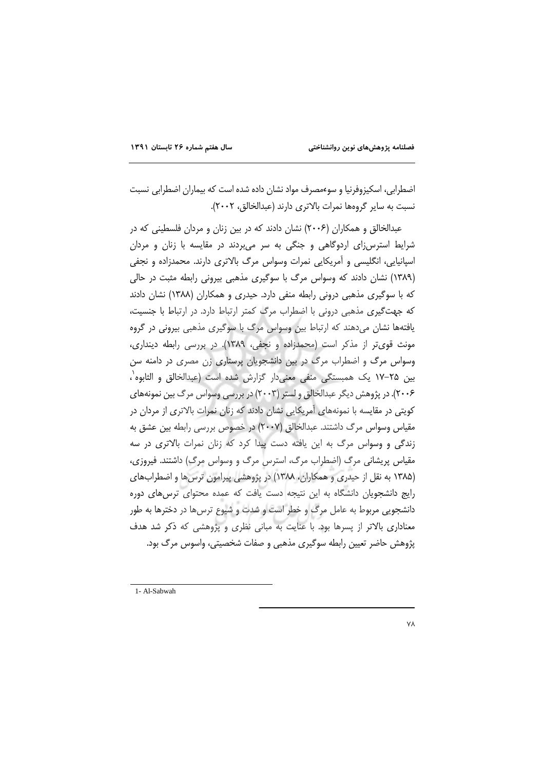اضطرابی، اسکیزوفرنیا و سوءمصرف مواد نشان داده شده است که بیماران اضطرابی نسبت نسبت به سایر گروهها نمرات بالاتری دارند (عبدالخالق، ۲۰۰۲).

عبدالخالق و همکاران (۲۰۰۶) نشان دادند که در بین زنان و مردان فلسطینی که در شرایط استرس;ای اردوگاهی و جنگی به سر می بردند در مقایسه با زنان و مردان اسپانیایی، انگلیسی و آمریکایی نمرات وسواس مرگ بالاتری دارند. محمدزاده و نجفی (١٣٨٩) نشان دادند كه وسواس مرگ با سوكيرى مذهبي بيروني رابطه مثبت در حالي که با سوگیری مذهبی درونی رابطه منفی دارد. حیدری و همکاران (۱۳۸۸) نشان دادند که جهتگیری مذهبی درونی با اضطراب مرگ کمتر ارتباط دارد. در ارتباط با جنسیت، یافتهها نشان میدهند که ارتباط بین وسواس مرگ با سوگیری مذهبی بیرونی در گروه مونث قوى تر از مذكر است (محمدزاده و نجفى، ١٣٨٩). در بررسى رابطه ديندارى، وسواس مرگ و اضطراب مرگ در بین دانشجویان پرستاری زن مصری در دامنه سن بین ۲۵–۱۷ یک همبستگی منفی معنی دار گزارش شده است (عبدالخالق و الثابوه`، ۲۰۰۶). در پژوهش دیگر عبدالخالق و لستر (۲۰۰۳) در بررسی وسواس مرگ بین نمونههای کویتی در مقایسه با نمونههای آمریکایی نشان دادند که زنان نمرات بالاتری از مردان در مقیاس وسواس مرگ داشتند. عبدالخالق (۲۰۰۷) در خصوص بررسی رابطه بین عشق به زندگی و وسواس مرگ به این یافته دست پیدا کرد که زنان نمرات بالاتری در سه مقیاس پریشانی مرگ (اضطراب مرگ، استرس مرگ و وسواس مرگ) داشتند. فیروزی، (۱۳۸۵ به نقل از حیدری و همکاران، ۱۳۸۸) در پژوهشی پیرامون ترسها و اضطرابهای رایج دانشجویان دانشگاه به این نتیجه دست یافت که عمده محتوای ترس های دوره دانشجویی مربوط به عامل مرگ و خطر است و شدت و شیوع ترس ها در دخترها به طور معناداری بالاتر از پسرها بود. با عنایت به مبانی نظری و پژوهشی که ذکر شد هدف پژوهش حاضر تعیین رابطه سوگیری مذهبی و صفات شخصیتی، واسوس مرگ بود.

1- Al-Sabwah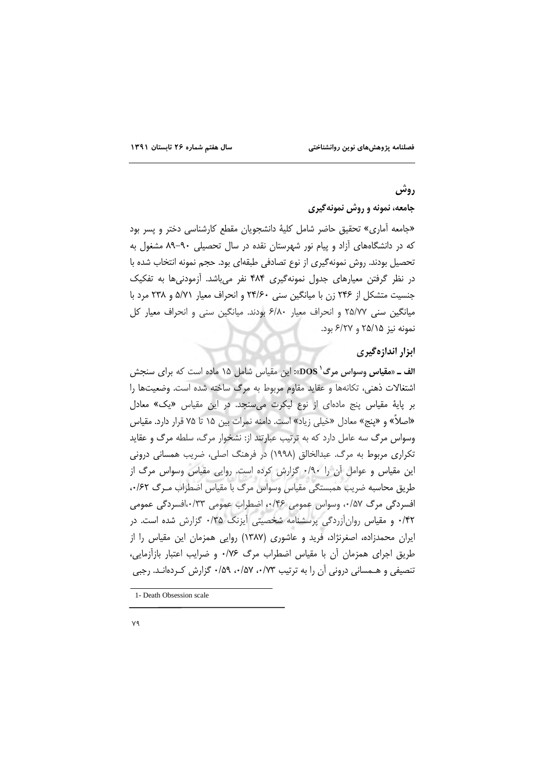## روش

# جامعه، نمونه و روش نمونه گیری

«جامعه آماري» تحقيق حاضر شامل كلية دانشجويان مقطع كارشناسي دختر و پسر بود که در دانشگاههای آزاد و پیام نور شهرستان نقده در سال تحصیلی ۹۰–۸۹ مشغول به تحصیل بودند. روش نمونهگیری از نوع تصادفی طبقهای بود. حجم نمونه انتخاب شده با در نظر گرفتن معیارهای جدول نمونهگیری ۴۸۴ نفر می باشد. آزمودنی ها به تفکیک جنسیت متشکل از ۲۴۶ زن با میانگین سنی ۲۴/۶۰ و انحراف معیار ۵/۷۱ و ۲۳۸ مرد با میانگین سنی ۲۵/۷۷ و انحراف معیار ۶/۸۰ بودند. میانگین سنی و انحراف معیار کل نمونه نيز ٢۵/١۵ و ۶/٢٧ بود.

### ابزار اندازهگیری

ا**لف ـ**ـ «**مقیاس وسواس مرگ<sup>(</sup> DOS»: این م**قیاس شامل ۱۵ ماده است که برای سنجش اشتغالات ذهني، تكانهها و عقايد مقاوم مربوط به مرگ ساخته شده است. وضعيتها را بر پایهٔ مقیاس پنج مادهای از نوع لیکرت می سنجد. در این مقیاس «یک» معادل «اصلاً» و «پنج» معادل «خیلی زیاد» است. دامنه نمرات بین ۱۵ تا ۷۵ قرار دارد. مقیاس وسواس مرگ سه عامل دارد که به ترتیب عبارتند از: نشخوار مرگ، سلطه مرگ و عقاید تکراری مربوط به مرگ. عبدالخالق (۱۹۹۸) در فرهنگ اصلی، ضریب همسانی درونی این مقیاس و عوامل آن را ۰/۹۰ گزارش کرده است. روایی مقیاس وسواس مرگ از طريق محاسبه ضريب همبستگي مقياس وسواس مرگ با مقياس اضطراب مـرگ ٠/۶٢، افسردگی مرگ ۰/۵۷، وسواس عمومی ۰/۴۶، اضطراب عمومی ۰/۳۳،افسردگی عمومی ۴۲/۰ و مقیاس روانآزردگی پرسشنامه شخصیتی آیزنک ۰/۳۵ گزارش شده است. در ایران محمدزاده، اصغرنژاد، فرید و عاشوری (۱۳۸۷) روایی همزمان این مقیاس را از طریق اجرای همزمان آن با مقیاس اضطراب مرگ ۰/۷۶ و ضرایب اعتبار بازآزمایی، تنصیفی و هـمسانی درونی آن را به ترتیب ۰/۵۲، ۰/۵۷، ۰/۵۹ گزارش کـردهانـد. رجبی

<sup>1-</sup> Death Obsession scale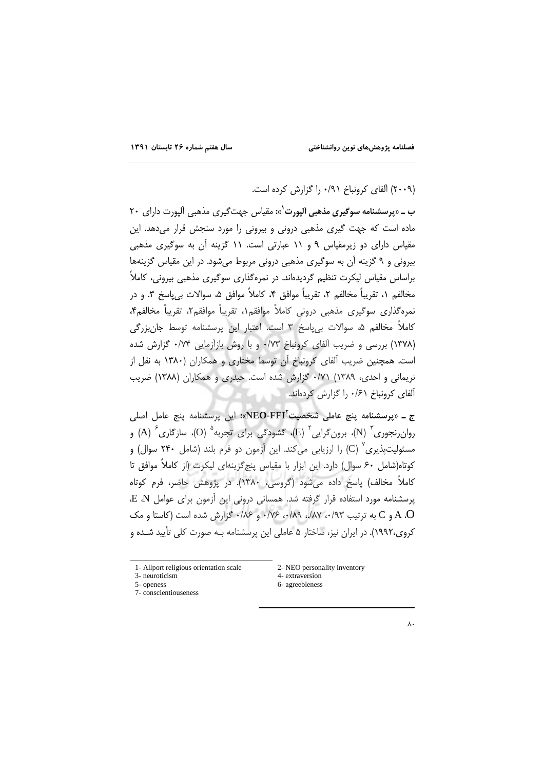(۲۰۰۹) آلفای کرونباخ ۰/۹۱ را گزارش کرده است.

ب ــ «پرسشنامه سوگیری مذهبی آلپورت<sup>\</sup>»: مقیاس جهت *گیر*ی مذهبی آلپورت دارای ۲۰ ماده است که جهت گیری مذهبی درونی و بیرونی را مورد سنجش قرار میدهد. این مقیاس دارای دو زیرمقیاس ۹ و ۱۱ عبارتی است. ۱۱ گزینه آن به سوگیری مذهبی بیرونی و ۹ گزینه آن به سوگیری مذهبی درونی مربوط می شود. در این مقیاس گزینهها براساس مقیاس لیکرت تنظیم گردیدهاند. در نمرهگذاری سوگیری مذهبی بیرونی، کاملاً مخالفم ١، تقريباً مخالفم ٢، تقريباً موافق ۴، كاملاً موافق ۵، سوالات بي ياسخ ٣. و در نمرەگذارى سوگيرى مذهبى درونى كاملاً موافقم۱، تقريباً موافقم۲، تقريباً مخالفم۴، کاملاً مخالفم ۵، سوالات بی یاسخ ۳ است. اعتبار این پرسشنامه توسط جان<u>بزر</u>گی (۱۳۷۸) بررسی و ضریب آلفای کرونباخ ۰/۷۳ و با روش بازآزمایی ۰/۷۴ گزارش شده است. همچنین ضریب آلفای کرونباخ آن توسط مختاری و همکاران (۱۳۸۰ به نقل از نريماني و احدي، ١٣٨٩) ٧١/٠ گزارش شده است. حيدري و همكاران (١٣٨٨) ضربب آلفای کرونباخ ۶۱/۰ را گزارش کردهاند.

ج ــ «يو**سشنامه ينج عاملي شخصيت<sup>ة</sup>NEO-FFI**»: اين پرسشنامه پنج عامل اصلي روان ِرنجوری ؓ (N)، برون گرایی ؓ (E)، گشودگی برای تجربه ؓ (O)، سازگاری ؓ (A) و مسئولیتیذیری ٌ (C) را ارزیابی می کند. این آزمون دو فرم بلند (شامل ۲۴۰ سوال) و كوتاه(شامل ۶۰ سوال) دارد. این ابزار با مقیاس پنج گزینهای لیکرت (از كاملاً موافق تا کاملاً مخالف) پاسخ داده می شود (گروسی، ۱۳۸۰). در پژوهش حاضر، فرم کوتاه یر سشنامه مورد استفاده قرار گرفته شد. همسانی درونی این آزمون برای عوامل E ،N A .O و C به ترتیب ۹۳٪، ۱۸۷٪، ۰/۸۹٪ و ۰/۷۶٪ گزارش شده است (کاستا و مک کروی،۱۹۹۲). در ایران نیز، ساختار ۵ عاملی این پرسشنامه بـه صورت کلی تأیید شـده و

1- Allport religious orientation scale

- 3- neuroticism
- 5- openess 7- conscientiouseness
- 2- NEO personality inventory 4- extraversion 6- agreebleness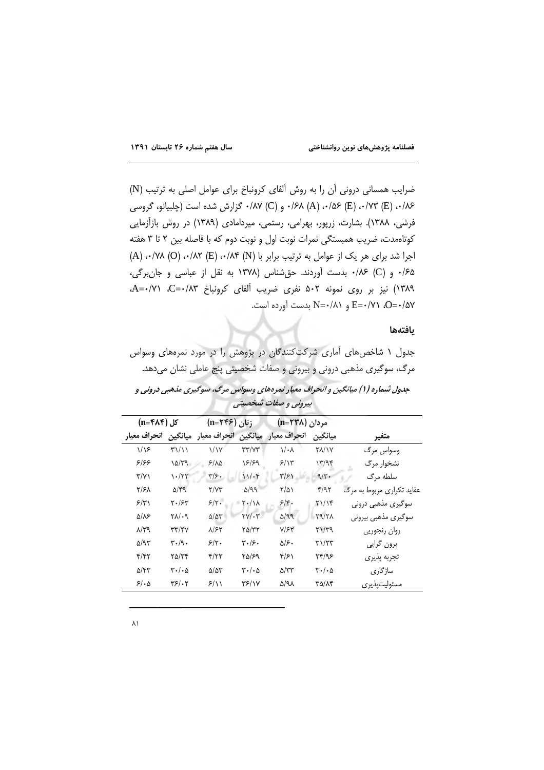ضرایب همسانی درونی اَن را به روش اَلفای کرونباخ برای عوامل اصلی به ترتیب (N) ۰/۸۶ (E) ۰/۷۳ (E) ۰/۸۷ (A) ۰/۶۸ و (C) ۰/۸۷ گزارش شده است (چلبیانو، گروسی فرشی، ۱۳۸۸). بشارت، زرپور، بهرامی، رستمی، میردامادی (۱۳۸۹) در روش بازآزمایی کوتاهمدت، ضریب همبستگی نمرات نوبت اول و نوبت دوم که با فاصله بین ۲ تا ۳ هفته اجرا شد برای هر یک از عوامل به ترتیب برابر با (N) ۰/۸۴ (E) ۰/۸۲ (O) ۰/۸۲) ۰/۶۵ و (C) ۰/۶۶ بدست آوردند. حق شناس (۱۳۷۸ به نقل از عباسی و جان برگی، ۱۳۸۹) نیز بر روی نمونه ۵۰۲ نفری ضریب آلفای کرونباخ ۵۳۰/۰۳-A=۰/۷۱. O=٠/۵۷، E=٠/٧١، و N=٠/٨١ بدست آورده است.

#### يافتهها

جدول ۱ شاخصهای آماری شرکتکنندگان در پژوهش را در مورد نمرههای وسواس مرگ، سوگیری مذهبی درونی و بیرونی و صفات شخصیتی پنج عاملی نشان میدهد. جدول شماره (۱) میانگین و انحراف معیار نمرههای وسواس مرگ، سوگیری مذهبی درونی و بيروني و صفات شخصيتي

| کل (n=۴۸۴) |                     | زنان (۱۳۶۶=n)                               |                         | مردان (n=۲۳۸)                 |                                    |                                             |                           |
|------------|---------------------|---------------------------------------------|-------------------------|-------------------------------|------------------------------------|---------------------------------------------|---------------------------|
|            | انحراف معيار        | ميانگين                                     |                         |                               | انحراف معيار ًميانگين انحراف معيار | مبانگين                                     | متغير                     |
|            | $1/\sqrt{2}$        | T111                                        | $\frac{1}{1}$           | $\tau\tau/\gamma\tau$         | $\sqrt{\cdot}$                     | <b>YA/1Y</b>                                | وسواس مرگ                 |
|            | ۶۱۶۶                | 10/79                                       | $5/\lambda\Delta$       | 18/89                         | 5/15                               | 17/95                                       | نشخوار مرگ                |
|            | $\Upsilon/\Upsilon$ | $1 - 77$                                    | $\frac{1}{2}$           | 11.6                          | $\frac{r}{r}$                      | $9/r$ .                                     | سلطه مرگ                  |
|            | ۲/۶۸                | $\Delta$ /۴9                                | Y/YY                    | 5/99                          | $\frac{1}{2}$                      | f/T                                         | عقاید تکراری مربوط به مرگ |
|            | 5/7                 | $Y \cdot 75$                                | $5/\tau$ .              | ۲۰/۱۸                         | 5/5.                               | Y1/19                                       | سوگیری مذھبی درونی        |
|            | ۵/۸۶                | $Y\Lambda/\Lambda$                          | $\Delta/\Delta\Upsilon$ | $\Upsilon V/\Upsilon V$       | $\Delta$ /99                       | Y9/YA                                       | سوگیری مذهبی بیرونی       |
|            | $\lambda$ /۳۹       | $\mathsf{r}\mathsf{r}/\mathsf{r}\mathsf{v}$ | $\lambda$ /۶۲           | ۲۵/۳۲                         | $Y/\mathcal{F}Y$                   | Y1/Y9                                       | روان رنجوريي              |
|            | ۵/۹۳                | $\mathbf{r} \cdot \mathbf{r} \cdot$         | $5/\tau$                | ۳۰/۶۰                         | ۵۱۶۰                               | $\mathbf{r}\mathbf{1}/\mathbf{r}\mathbf{r}$ | برون گرايي                |
|            | f/f                 | ۲۵/۳۴                                       | Y/YY                    | 50/89                         | ۴۱۶۱                               | ۲۴/۹۶                                       | تجربه يذيري               |
|            | ۵/۴۳                | $\mathbf{r}$ ./ $\mathbf{r}$                | $\Delta/\Delta Y$       | $\mathbf{r}$ ./. $\mathbf{r}$ | ۵/۳۳                               | $r \cdot / \cdot \Delta$                    | ساز گاری                  |
|            | 51.0                | $\mathbf{Y}$ $\mathbf{S}$ $\mathbf{I}$      | 5/11                    | ۳۶/۱۷                         | <b>S/91</b>                        | 50/14                                       | مسئولیتیذیر ی             |
|            |                     |                                             |                         |                               |                                    |                                             |                           |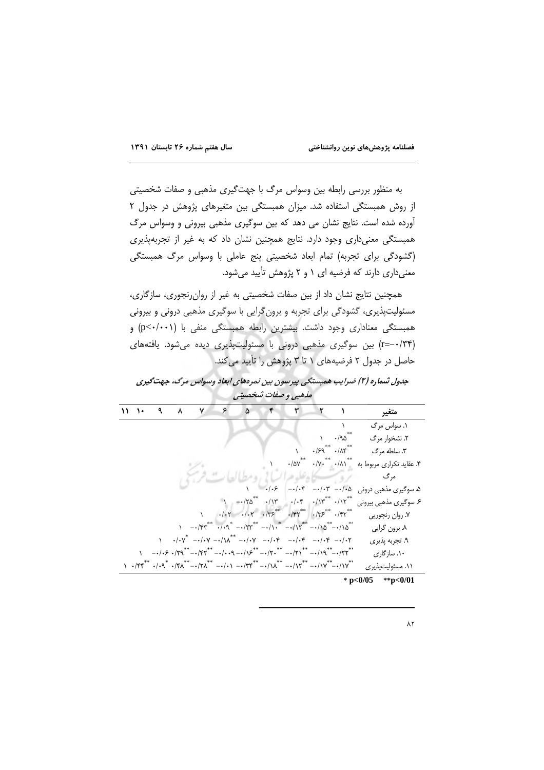به منظور بررسی رابطه بین وسواس مرگ با جهتگیری مذهبی و صفات شخصیتی از روش همبستگی استفاده شد. میزان همبستگی بین متغیرهای پژوهش در جدول ٢ آورده شده است. نتایج نشان می دهد که بین سوگیری مذهبی بیرونی و وسواس مرگ همبستگی معنیداری وجود دارد. نتایج همچنین نشان داد که به غیر از تجربهپذیری (گشودگی برای تجربه) تمام ابعاد شخصیتی پنج عاملی با وسواس مرگ همبستگی معنیداری دارند که فرضیه ای ۱ و ۲ پژوهش تأیید می شود.

همچنین نتایج نشان داد از بین صفات شخصیتی به غیر از روان رنجوری، سازگاری، مسئولیتپذیری، گشودگی برای تجربه و برونگرایی با سوگیری مذهبی درونی و بیرونی همبستگی معناداری وجود داشت. بیشترین رابطه همبستگی منفی با (p<٠/٠٠١) و (r=-۰/۳۴) بین سوگیری مذهبی درونی با مسئولیتپذیری دیده می شود. یافتههای حاصل در جدول ۲ فرضیههای ۱ تا ۳ پژوهش را تأیید می کند.

جدول شماره (۲) ضرایب همبستگی پیرسون بین نمرههای ابعاد وسواس مرگ، جهت گیری مذهبي و صفات شخصيتي

|  | $11$ $1$ $9$ | ۸ | ٧. | $\sim$ | ۵         | ۴                                                                                                                                                                                                                                                                                                                                                                                                      |                                                                            | $\mathbf{r}$ $\mathbf{r}$ $\mathbf{r}$ |                                                                    | متغير                    |
|--|--------------|---|----|--------|-----------|--------------------------------------------------------------------------------------------------------------------------------------------------------------------------------------------------------------------------------------------------------------------------------------------------------------------------------------------------------------------------------------------------------|----------------------------------------------------------------------------|----------------------------------------|--------------------------------------------------------------------|--------------------------|
|  |              |   |    |        |           |                                                                                                                                                                                                                                                                                                                                                                                                        |                                                                            |                                        |                                                                    | ۱. سواس مرگ              |
|  |              |   |    |        |           |                                                                                                                                                                                                                                                                                                                                                                                                        |                                                                            |                                        | $\cdot$ /90                                                        | ۲. نشخوار مرگ            |
|  |              |   |    |        |           |                                                                                                                                                                                                                                                                                                                                                                                                        |                                                                            |                                        | $\cdot$ / $59$ <sup>**</sup> $\cdot$ / $\Lambda$ $5$ <sup>**</sup> | ۳. سلطه مرگ              |
|  |              |   |    |        |           |                                                                                                                                                                                                                                                                                                                                                                                                        | $\cdot/\Delta V$ **                                                        |                                        | $\cdot/\gamma \cdot$ $\cdot/\lambda\gamma$                         | ۴. عقاید تکراری مربوط به |
|  |              |   |    |        |           |                                                                                                                                                                                                                                                                                                                                                                                                        |                                                                            |                                        |                                                                    | مر گ                     |
|  |              |   |    |        |           | .1.5                                                                                                                                                                                                                                                                                                                                                                                                   | $-\cdot/\cdot$ ۴                                                           |                                        | $- \cdot / \cdot r$ $- \cdot / \cdot \Delta$                       | ۵. سوگیری مذهبی درونی    |
|  |              |   |    |        | $-170$ ** |                                                                                                                                                                                                                                                                                                                                                                                                        | $\cdot/\gamma$ $\cdot/\gamma$ $\cdot/\gamma$ $\cdot/\gamma$ $\cdot/\gamma$ |                                        |                                                                    | ۶. سوگیری مذهبی بیرونی   |
|  |              |   |    |        |           | $\cdot$ / $\cdot$ Y $\cdot$ / $\cdot$ Y $\cdot$ / $\cdot$ / $\cdot$ <sup>*</sup> $\cdot$ / $\cdot$ / $\cdot$ <sup>**</sup> $\cdot$ / $\cdot$ / $\cdot$ <sup>**</sup> $\cdot$ / $\cdot$                                                                                                                                                                                                                 |                                                                            |                                        |                                                                    | ٧. روان رنجوريي          |
|  |              |   |    |        |           | $1 - \frac{1}{2} \int_{0}^{1} e^{-x} e^{-x} dx + \frac{1}{2} \int_{0}^{1} e^{-x} dx + \frac{1}{2} \int_{0}^{1} e^{-x} dx + \frac{1}{2} \int_{0}^{1} e^{-x} dx + \frac{1}{2} \int_{0}^{1} e^{-x} dx + \frac{1}{2} \int_{0}^{1} e^{-x} dx + \frac{1}{2} \int_{0}^{1} e^{-x} dx + \frac{1}{2} \int_{0}^{1} e^{-x} dx + \frac{1}{2} \int_{0}^{1} e^{-x} dx + \frac{1}{2} \int_{0}^{1} e^{-x} dx + \frac{1$ |                                                                            |                                        |                                                                    | ۸ برون گرايي             |
|  |              |   |    |        |           | $\cdot/\cdot \gamma^*$ --/ $\cdot \gamma$ --/ $\lambda^*$ --/ $\cdot \gamma$ --/ $\cdot \gamma$ --/ $\cdot \gamma$ --/ $\cdot \gamma$ --/ $\cdot \gamma$                                                                                                                                                                                                                                               |                                                                            |                                        |                                                                    | ۹. تجربه پذیری           |
|  |              |   |    |        |           | \      --/-& -/۲۹**---/۴۲**---/--9 --/\&***---/****----/****---/****--/۲۲***                                                                                                                                                                                                                                                                                                                           |                                                                            |                                        |                                                                    | ۱۰. سازگار <i>ی</i>      |
|  |              |   |    |        |           |                                                                                                                                                                                                                                                                                                                                                                                                        |                                                                            |                                        |                                                                    | ۱۱. مسئولیتپذیری         |

\* p<0/05 \*\* p<0/01

 $\lambda$ ۲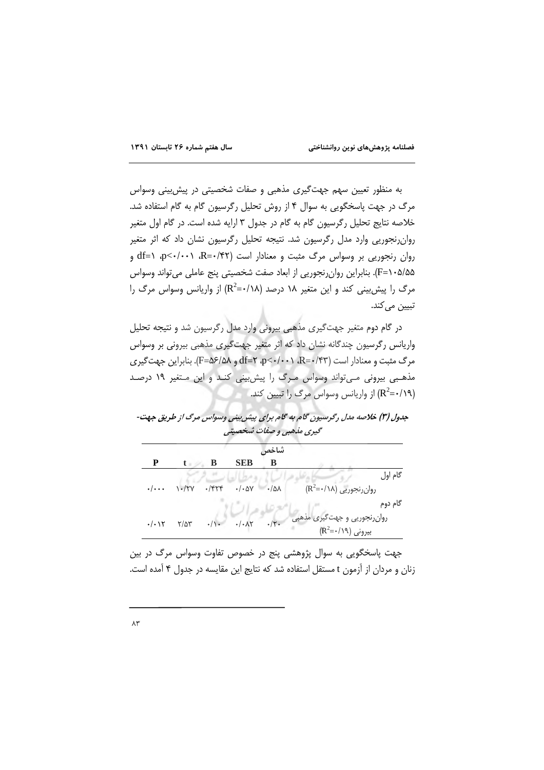به منظور تعیین سهم جهتگیری مذهبی و صفات شخصیتی در پیش بینی وسواس مرگ در جهت پاسخگویی به سوال ۴ از روش تحلیل رگرسیون گام به گام استفاده شد. خلاصه نتایج تحلیل رگرسیون گام به گام در جدول ۳ ارایه شده است. در گام اول متغیر روان رنجوریی وارد مدل رگرسیون شد. نتیجه تحلیل رگرسیون نشان داد که اثر متغیر  $df = \sqrt{P}$ دوان رنجوریی بر وسواس مرگ مثبت و معنادار است (۴۲/۰=R)،  $p<\cdots$ ۹/۰ (=f) و &F=۱۰۵). بنابراین روانرنجوریی از ابعاد صفت شخصیتی پنج عاملی میتواند وسواس مرگ را پیش بینی کند و این متغیر ۱۸ درصد (۱۸/۰=R<sup>2</sup>) از واریانس وسواس مرگ را تبيين مي كند.

در گام دوم متغیر جهتگیری مذهبی بیرونی وارد مدل رگرسیون شد و نتیجه تحلیل واریانس رگرسیون چندگانه نشان داد که اثر متغیر جهتگیری مذهبی بیرونی بر وسواس  $\text{d}F = \text{d}F/\text{d}$ م (F=۵۶/۵۸ و Af=۲ ،p<-/۰۰۰ R=۰/۴۳). بنابراین جهت گیری مذهبی بیرونی مےتواند وسواس مرگ را پیش بینی کنـد و این مـتغیر ١٩ درصـد از واریانس وسواس مرگ را تبیین کند. (R $^2$ =۰/۱۹

| جدول (۳) خلاصه مدل رگرسیون گام به گام برای پیش بینی وسواس مرگ از طریق جهت- |                          |  |
|----------------------------------------------------------------------------|--------------------------|--|
|                                                                            | گیری ملهبی و صفات شخصیتی |  |

| شاخص                       |              |               |                       |                |                                                      |  |  |
|----------------------------|--------------|---------------|-----------------------|----------------|------------------------------------------------------|--|--|
| P                          | $t =$        | В             | <b>SEB</b>            | в              |                                                      |  |  |
|                            |              |               |                       |                | گام اول                                              |  |  |
| $\cdot/\cdot\cdot$         | $1 - XYV$    | $\cdot$ /۴۲۴  | $\cdot/\cdot\Delta V$ | $-10\lambda$   | $(R^2=*/\lambda)$ روان رنجوریی (R <sup>2</sup> =٠/١٨ |  |  |
|                            |              |               |                       |                | گام دوم                                              |  |  |
| $\cdot/\cdot$ ) $\Upsilon$ | $Y/\Delta Y$ | $\cdot/\cdot$ | $\cdot/\cdot \lambda$ | $\cdot/\tau$ . | روانرنجوریی و جهتگیری مذهبی                          |  |  |
|                            |              |               |                       |                | $(R^2=*/19)$ بیرونی                                  |  |  |

جهت پاسخگويي به سوال پژوهشي پنج در خصوص تفاوت وسواس مرگ در بين زنان و مردان از آزمون t مستقل استفاده شد که نتایج این مقایسه در جدول ۴ آمده است.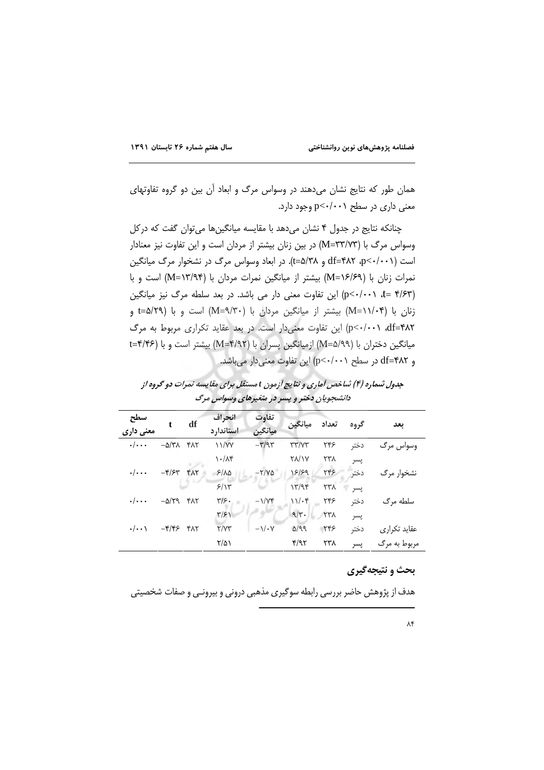همان طور که نتایج نشان میدهند در وسواس مرگ و ابعاد آن بین دو گروه تفاوتهای معنی داری در سطح p<٠/٠٠١ وجود دارد.

چنانکه نتایج در جدول ۴ نشان میدهد با مقایسه میانگینها میتوان گفت که درکل وسواس مرگ با (M=۳۳/۷۳) در بین زنان بیشتر از مردان است و این تفاوت نیز معنادار است (p<٠/٠٠١)، df=۴۸۲ و af=۴۸۲). در ابعاد وسواس مرگ در نشخوار مرگ میانگین نمرات زنان با (M=۱۶/۶۹) بیشتر از میانگین نمرات مردان با (M=۱۳/۹۴) است و با (p<-/·· \, t= ۴/۶۳) این تفاوت معنی دار می باشد. در بعد سلطه مرگ نیز میانگین زنان با (۱۱/۰۴=M) بیشتر از میانگین مردان با (M=۹/۳۰) است و با (t=۵/۲۹ و p<-/-٠١ df=۴۸٢) این تفاوت معنی دار است. در بعد عقاید تکراری مربوط به مرگ میانگین دختران با (M=۵/۹۹) ازمیانگین پسران با (M=۴/۹۲) بیشتر است و با (۴/۴۶=t و df=۴۸۲ در سطح (۰۰/۰۰۰) این تفاوت معنیدار میباشد.

جدول شماره (۴) شاخص آماری و نتایج آزمون t مستقل برای مقایسه نمرات دو گروه از دانشجویان دختر و پسر در متغیرهای وسواس مرگ

| سطح<br>معنی داری        | t                                                   | df  | انحراف<br>استاندار د        | تفاوت<br>ميانگين                   | ميانگين               | تعداد      | گروه | ىعد          |
|-------------------------|-----------------------------------------------------|-----|-----------------------------|------------------------------------|-----------------------|------------|------|--------------|
| $\cdot/\cdot\cdot$      | $-\Delta/\Upsilon\Lambda$ $\Upsilon\Lambda\Upsilon$ |     | 11/VV                       | $-\mathbf{r}/\mathbf{a}\mathbf{r}$ | $\tau\tau/\gamma\tau$ | ۲۴۶        | دختر | وسواس مرگ    |
|                         |                                                     |     | $\lambda \cdot / \lambda$ ۴ |                                    | <b>TA/1Y</b>          | ۲۳۸        | پسر  |              |
| $\cdot/\cdot\cdot\cdot$ | $-\mathbf{f}/\mathbf{F}$                            | YAY | 5/10                        | $-Y/V\Delta$                       | 18/89                 | 446        | دختر | نشخوار مرگ   |
|                         |                                                     |     | 5/15                        |                                    | 17/95                 | <b>٢٣٨</b> | يسر  |              |
| $\cdot/\cdot\cdot\cdot$ | $-\Delta/Y$ 9 $YAY$                                 |     | $\frac{1}{2}$               | $-\frac{1}{Y}$                     | 11.6                  | ۲۴۶        | دختر | سلطه مرگ     |
|                         |                                                     |     | $\frac{r}{r}$               |                                    | 9/r.                  | <b>TTA</b> | پسر  |              |
| $\cdot/\cdot\cdot$      | $-\mathbf{f}/\mathbf{f}$ $\mathbf{f}$ $\mathbf{f}$  |     | Y/YY                        | $-\frac{1}{x}$                     | Q/q                   | 446        | دختر | عقاید تکراری |
|                         |                                                     |     | $\frac{1}{2}$               |                                    | f/97                  | ۲۳۸        | پسر  | مربوط به مرگ |

# بحث و نتيجه گيري

هدف از پژوهش حاضر بررسی رابطه سوگیری مذهبی درونی و بیرونـی و صفات شخصیتی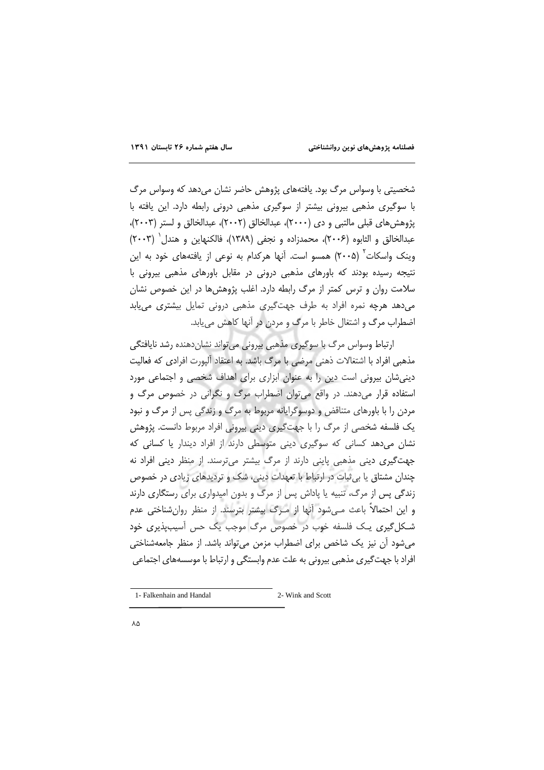شخصیتی با وسواس مرگ بود. یافتههای پژوهش حاضر نشان میدهد که وسواس مرگ با سوگیری مذهبی بیرونی بیشتر از سوگیری مذهبی درونی رابطه دارد. این یافته با پژوهش های قبلی مالتبی و دی (۲۰۰۰)، عبدالخالق (۲۰۰۲)، عبدالخالق و لستر (۲۰۰۳)، عبدالخالق و الثابوه (۲۰۰۶)، محمدزاده و نجفي (۱۳۸۹)، فالكنهاين و هندل (۲۰۰۳) وینک واسکات<sup>۲</sup> (۲۰۰۵) همسو است. آنها هرکدام به نوعی از یافتههای خود به این نتیجه رسیده بودند که باورهای مذهبی درونی در مقابل باورهای مذهبی بیرونی با سلامت روان و ترس کمتر از مرگ رابطه دارد. اغلب پژوهش ها در این خصوص نشان می دهد هرچه نمره افراد به طرف جهت گیری مذهبی درونی تمایل بیشتری می یابد اضطراب مرگ و اشتغال خاطر با مرگ و مردن در آنها کاهش می یابد.

ارتباط وسواس مرگ با سوگیری مذهبی بیرونی میتواند نشاندهنده رشد نایافتگی مذهبی افراد با اشتغالات ذهنی مرضی با مرگ باشد. به اعتقاد آلیورت افرادی که فعالیت دینی شان بیرونی است دین را به عنوان ابزاری برای اهداف شخصی و اجتماعی مورد استفاده قرار میدهند. در واقع می توان اضطراب مرگ و نگرانی در خصوص مرگ و مردن را با باورهای متناقض و دوسوگرایانه مربوط به مرگ و زندگی پس از مرگ و نبود یک فلسفه شخصی از مرگ را با جهتگیری دینی بیرونی افراد مربوط دانست. پژوهش نشان می دهد کسانی که سوگیری دینی متوسطی دارند از افراد دیندار یا کسانی که جهت گیری دینی مذهبی پاینی دارند از مرگ بیشتر میترسند. از منظر دینی افراد نه چندان مشتاق یا بی ثبات در ارتباط با تعهدات دینی، شک و تردیدهای زیادی در خصوص زندگی پس از مرگ، تنبیه یا پاداش پس از مرگ و بدون امیدواری برای رستگاری دارند و این احتمالاً باعث مےشود آنها از مـرگ پیشتر بترسند. از منظر روانشناختی عدم شـکل گیری یـک فلسفه خوب در خصوص مرگ موجب یک حس آسیبیذیری خود میشود آن نیز یک شاخص برای اضطراب مزمن میتواند باشد. از منظر جامعهشناختی افراد با جهت گیری مذهبی بیرونی به علت عدم وابستگی و ارتباط با موسسههای اجتماعی

<sup>1-</sup> Falkenhain and Handal 2- Wink and Scott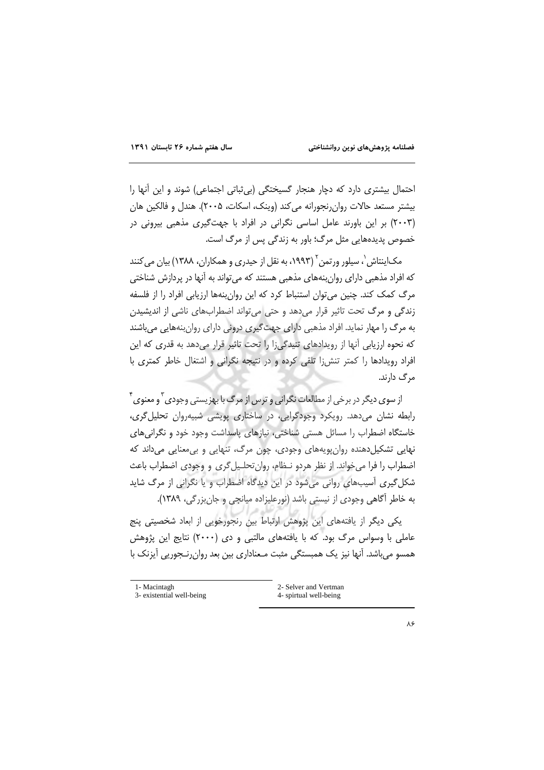احتمال بیشتری دارد که دچار هنجار گسیختگی (بی ثباتی اجتماعی) شوند و این أنها را بیشتر مستعد حالات روان نجورانه می کند (وینک، اسکات، ۲۰۰۵). هندل و فالکین هان (۲۰۰۳) بر این باورند عامل اساسی نگرانی در افراد با جهتگیری مذهبی بیرونی در خصوص پدیدههایی مثل مرگ؛ باور به زندگی پس از مرگ است.

مک]ینتاش`، سیلور ورتمن``(۱۹۹۳، به نقل از حیدری و همکاران، ۱۳۸۸) بیان می کنند که افراد مذهبی دارای روانبنههای مذهبی هستند که میتواند به آنها در پردازش شناختی مرگ کمک کند. چنین می توان استنباط کرد که این روان بنهها ارزیابی افراد را از فلسفه زندگی و مرگ تحت تاثیر قرار میدهد و حتی میتواند اضطرابهای ناشی از اندیشیدن به مرگ را مهار نماید. افراد مذهبی دارای جهت گیری درونی دارای روانبنههایی میباشند که نحوه ارزیابی آنها از رویدادهای تنیدگیزا را تحت تاثیر قرار میدهد به قدری که این افراد رویدادها را کمتر تنش;ا تلقی کرده و در نتیجه نگرانی و اشتغال خاطر کمتری با مرگ دارند.

از سوی دیگر در برخی از مطالعات نگرانی و ترس از مرگ با بهزیستی وجودی ّ و معنوی ٔ رابطه نشان می دهد. رویکرد وجودگرایی، در ساختاری پویشی شبیه روان تحلیل گری، خاستگاه اضطراب را مسائل هستی شناختی، نیازهای پاسداشت وجود خود و نگرانیهای نهایی تشکیلدهنده روان پویههای وجودی، چون مرگ، تنهایی و بی معنایی میداند که اضطراب را فرا می خواند. از نظر هردو نـظام، روان تحلـیل گری و وجودی اضطراب باعث شکل گیری آسیبهای روانی میشود در این دیدگاه اضطراب و یا نگرانی از مرگ شاید به خاطر آگاهی وجودی از نیستی باشد (نورعلیزاده میانچی و جان بزرگی، ۱۳۸۹).

یکی دیگر از یافتههای این پژوهش ارتباط بین رنجورخویی از ابعاد شخصیتی پنج عاملي با وسواس مرگ بود. كه با يافتههاي مالتبي و دي (٢٠٠٠) نتايج اين پژوهش همسو میباشد. آنها نیز یک همبستگی مثبت مـعناداری بین بعد روان٫رنـجوریی آیزنک با

| 1- Macintagh              | 2- Selver and Vertman  |
|---------------------------|------------------------|
| 3- existential well-being | 4- spirtual well-being |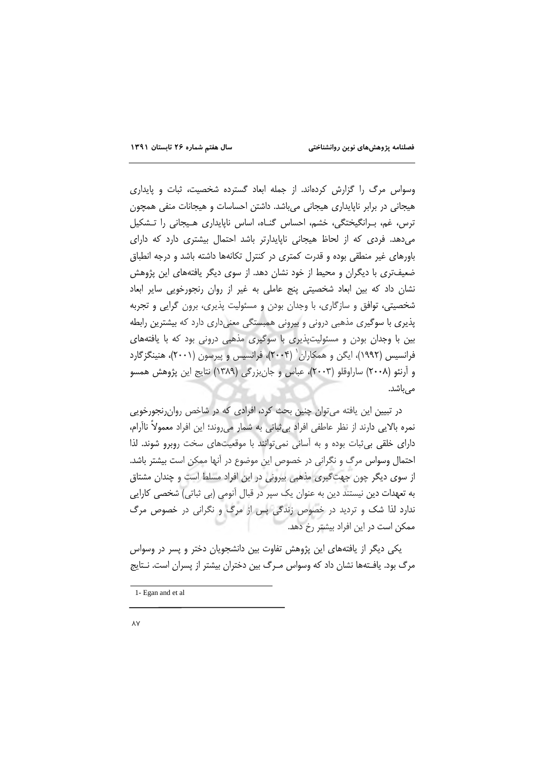وسواس مرگ را گزارش كردهاند. از جمله ابعاد گسترده شخصيت، ثبات و پايدارى هیجانی در برابر ناپایداری هیجانی میباشد. داشتن احساسات و هیجانات منفی همچون ترس، غم، بهرانگیختگی، خشم، احساس گناه، اساس ناپایداری هیجانی را تشکیل می دهد. فردی که از لحاظ هیجانی ناپایدارتر باشد احتمال بیشتری دارد که دارای باورهای غیر منطقی بوده و قدرت کمتری در کنترل تکانهها داشته باشد و درجه انطباق ضعیفتری با دیگران و محیط از خود نشان دهد. از سوی دیگر یافتههای این پژوهش نشان داد که بین ابعاد شخصیتی پنج عاملی به غیر از روان رنجورخویی سایر ابعاد شخصیتی، توافق و سازگاری، با وجدان بودن و مسئولیت پذیری، برون گرایی و تجربه پذیری با سوگیری مذهبی درونی و بیرونی همبستگی معنیداری دارد که بیشترین رابطه بین با وجدان بودن و مسئولیتپذیری با سوگیری مذهبی درونی بود که با یافتههای فرانسیس (۱۹۹۲)، ایگن و همکاران <sup>(</sup> ۲۰۰۴)، فرانسیس و پیرسون (۲۰۰۱)، هنینگز گارد و اَرنئو (۲۰۰۸) ساراوقلو (۲۰۰۳)، عباس و جانِبزرگی (۱۳۸۹) نتایج این پژوهش همسو مىباشد.

در تبیین این یافته می توان چنین بحث کرد، افرادی که در شاخص روان رنجورخویی نمره بالایی دارند از نظر عاطفی افراد بی ثباتی به شمار می روند؛ این افراد معمولاً ناآرام، دارای خلقی بی ثبات بوده و به آسانی نمی توانند با موقعیتهای سخت روبرو شوند. لذا احتمال وسواس مرگ و نگرانی در خصوص این موضوع در آنها ممکن است بیشتر باشد. از سوی دیگر چون جهت گیری مذهبی بیرونی در این افراد مسلط است و چندان مشتاق به تعهدات دین نیستند دین به عنوان یک سپر در قبال آنومی (بی ثباتی) شخصی کارایی ندارد لذا شک و تردید در خصوص زندگی پس از مرگ و نگرانی در خصوص مرگ ممکن است در این افراد بیشتر رخ دهد.

یکی دیگر از یافتههای این پژوهش تفاوت بین دانشجویان دختر و پسر در وسواس مرگ بود. یافـتهها نشان داد که وسواس مـرگ بین دختران بیشتر از پسران است. نـتایج

<sup>1-</sup> Egan and et al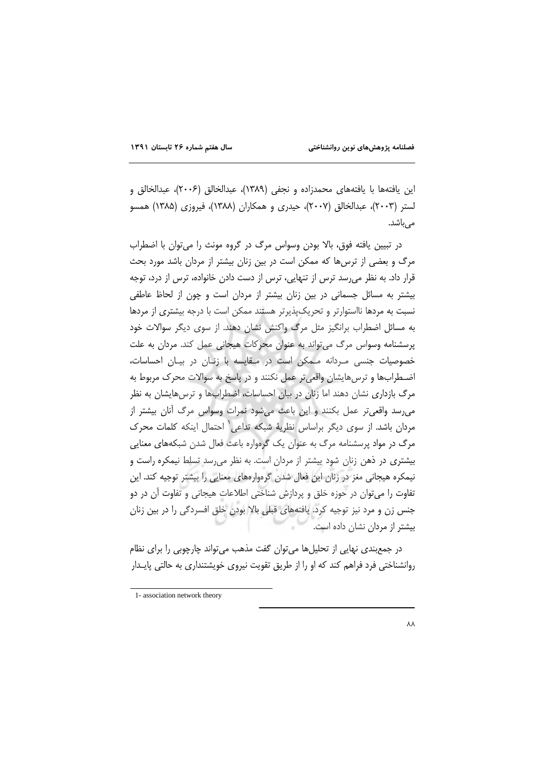این یافتهها با یافتههای محمدزاده و نجفی (۱۳۸۹)، عبدالخالق (۲۰۰۶)، عبدالخالق و لستر (۲۰۰۳)، عبدالخالق (۲۰۰۷)، حیدری و همکاران (۱۳۸۸)، فیروزی (۱۳۸۵) همسو مے ،باشد.

در تبيين يافته فوق، بالا بودن وسواس مرگ در گروه مونث را مي توان با اضطراب مرگ و بعضی از ترس ها که ممکن است در بین زنان بیشتر از مردان باشد مورد بحث قرار داد. به نظر می،رسد ترس از تنهایی، ترس از دست دادن خانواده، ترس از درد، توجه بیشتر به مسائل جسمانی در بین زنان بیشتر از مردان است و چون از لحاظ عاطفی نسبت به مردها نااستوارتر و تحریکِپذیرتر هستند ممکن است با درجه بیشتری از مردها به مسائل اضطراب برانگیز مثل مرگ واکنش نشان دهند. از سوی دیگر سوالات خود پرسشنامه وسواس مرگ می تواند به عنوان محرکات هیجانی عمل کند. مردان به علت خصوصیات جنسی مـردانه مـمکن است در مـقایسه با زنـان در بیـان احساسات، اضطرابها و ترس هایشان واقعی تر عمل نکنند و در پاسخ به سوالات محرک مربوط به مرگ بازداری نشان دهند اما زنان در بیان احساسات، اضطرابها و ترسهایشان به نظر می رسد واقعی تر عمل بکنند و این باعث می شود نمرات وسواس مرگ آنان بیشتر از مردان باشد. از سوی دیگر براساس نظریهٔ شبکه تداعی یاحتمال اینکه کلمات محرک مرگ در مواد پرسشنامه مرگ به عنوان یک گرهواره باعث فعال شدن شبکههای معنایی بیشتری در ذهن زنان شود بیشتر از مردان است. به نظر می رسد تسلط نیمکره راست و نیمکره هیجانی مغز در زنان این فعال شدن گرهوارههای معنایی را بیشتر توجیه کند. این تفاوت را میتوان در حوزه خلق و پردازش شناختی اطلاعات هیجانی و تفاوت آن در دو جنس زن و مرد نیز توجیه کرد. یافتههای قبلی بالا بودن خلق افسردگی را در بین زنان بیشتر از مردان نشان داده است.

در جمع بندی نهایی از تحلیل ها می توان گفت مذهب می تواند چارچوبی را برای نظام روانشناختی فرد فراهم کند که او را از طریق تقویت نیروی خویشتنداری به حالتی پایـدار

<sup>1-</sup> association network theory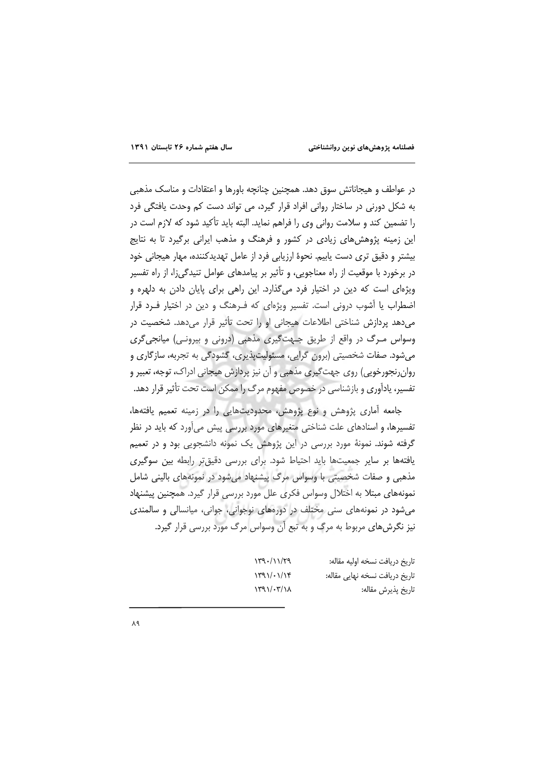در عواطف و هیجاناتش سوق دهد. همچنین چنانچه باورها و اعتقادات و مناسک مذهبی به شکل دورنی در ساختار روانی افراد قرار گیرد، می تواند دست کم وحدت یافتگی فرد را تضمین کند و سلامت روانی وی را فراهم نماید. البته باید تأکید شود که لازم است در این زمینه پژوهش های زیادی در کشور و فرهنگ و مذهب ایرانی برگیرد تا به نتایج بیشتر و دقیق تری دست پاییم. نحوهٔ ارزیابی فرد از عامل تهدیدکننده، مهار هیجانی خود در برخورد با موقعیت از راه معناجویی، و تأثیر بر پیامدهای عوامل تنیدگی;ا، از راه تفسیر ویژهای است که دین در اختیار فرد میگذارد. این راهی برای پایان دادن به دلهره و اضطراب یا آشوب درونی است. تفسیر ویژهای که فـرهنگ و دین در اختیار فـرد قرار می دهد پردازش شناختی اطلاعات هیجانی او را تحت تأثیر قرار می دهد. شخصیت در وسواس مرگ در واقع از طریق جهتگیری مذهبی (درونی و بیرونی) میانجیگری می شود. صفات شخصیتی (برون گرایی، مسئولیت پذیری، گشودگی به تجربه، سازگاری و روانرنجورخویی) روی جهت گیری مذهبی و آن نیز پردازش هیجانی ادراک، توجه، تعبیر و تفسیر، یادآوری و بازشناسی در خصوص مفهوم مرگ را ممکن است تحت تأثیر قرار دهد.

جامعه آماری پژوهش و نوع پژوهش، محدودیتهایی را در زمینه تعمیم یافتهها، تفسیرها، و اسنادهای علت شناختی متغیرهای مورد بررسی پیش میآورد که باید در نظر گرفته شوند. نمونهٔ مورد بررسی در این پژوهش یک نمونه دانشجویی بود و در تعمیم یافتهها بر سایر جمعیتها باید احتیاط شود. برای بررسی دقیقتر رابطه بین سوگیری مذهبی و صفات شخصیتی با وسواس مرگ پیشنهاد می شود در نمونههای بالینی شامل نمونههای مبتلا به اختلال وسواس فکری علل مورد بررسی قرار گیرد. همچنین پیشنهاد می شود در نمونههای سنی مختلف در دورههای نوجوانی، جوانی، میانسالی و سالمندی نیز نگرش های مربوط به مرگ و به تبع آن وسواس مرگ مورد بررسی قرار گیرد.

| 179.1179                        | تاريخ دريافت نسخه اوليه مقاله: |
|---------------------------------|--------------------------------|
| $\frac{1}{9}$                   | تاریخ دریافت نسخه نهایی مقاله: |
| $\gamma$ ۲۹ $\gamma$ . $\gamma$ | تاريخ پذيرش مقاله:             |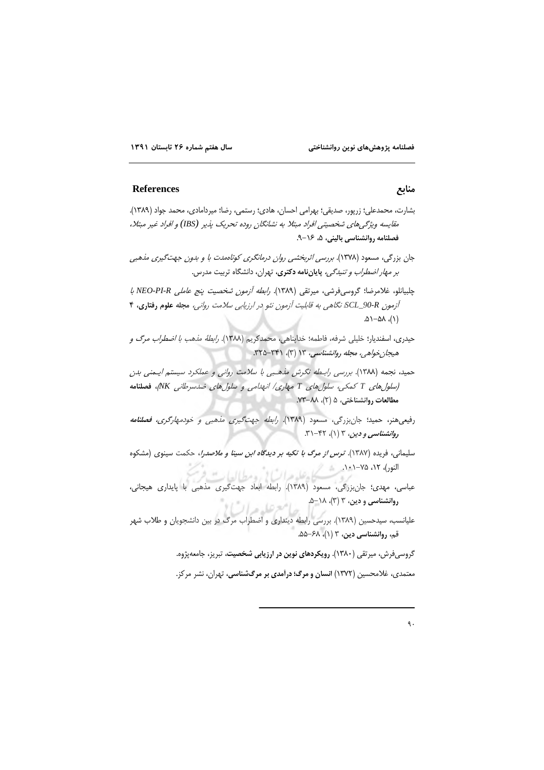#### **References**

- بشارت، محمدعلی؛ زرپور، صدیقی؛ بهرامی احسان، هادی؛ رستمی، رضا؛ میردامادی، محمد جواد (۱۳۸۹). مقایسه ویژگیهای شخصیتی افراد مبتلا به نشانگان روده تحریک پذیر (IBS) و افراد غیر مبتلا، فصلنامه روانشناسی بالینی، ۵، ۱۶–۹.
- جان بزرگی، مسعود (۱۳۷۸). برر*سی اثربخشی روان درمانگری کوتاهمدت با و بدون جهت گیری مذهبی بر مهار اضطراب و تنیدگی،* پایاننامه دکتری، تهران، دانشگاه تربیت مدرس.

چلبيانلو، غلامرضا؛ گروسىفرشى، ميرتقى (١٣٨٩). *رابطه آزمون شخصيت پنج عاملى NEO-PI-R با* آزمون SCL\_90-R نگاهی به قابلیت آزمون نئو در ارزیابی سلامت روانی، مجله علوم رفتاری، ۴  $(1)$ ,  $\Delta \Lambda - \Delta \Lambda$ 

حيدري، اسفنديار؛ خليلي شرفه، فاطمه؛ خداپناهي، محمدكريم (١٣٨٨). *رابطة مذهب با اضطراب مرگ و* هیجان خواهی، مجله روانشناسی، ۱۳ (۳)، ۳۲۱-۳۲۵.

حمید، نجمه (۱۳۸۸). بررسی رابطه نگرش ملهبی با سلامت روانی و عملکرد سیستم ایـمنی بدن (سلول های T کمکی، سلول های T مهاری/ انهدامی و سلول های ضدسرطانی NK، فصلنامه مطالعات روانشناختي، ۵ (۲)، ۸۸-۷۳.

- رفیعیهنر، حمید؛ جانبزرگی، مسعود (۱۳۸۹). *رابطه جهت گیری مذهبی و خودمهارگری، فصلنامه* روانشناسی و دین، ۳ (۱)، ۴۲–۳۱.
- سلیمانی، فریده (۱۳۸۷). *ترس از مرگ با تکیه بر دیدگاه ابن سینا و ملاصدرا*، حکمت سینوی (مشکوه ي.<br>ا<sub>لنود)</sub>، ١٢، ٧٥-١<u>٠١</u> مشكل عليه عبرات إن<sub>ي ق</sub>ومطياله
- ۔<br>عباسی، مهدی؛ جانبزرگی، مسعود (۱۳۸۹). رابطه ابعاد جهتگیری مذهبی با پایداری هیجانی، روانشناسی و دین، ۳ (۳)، ۵–۵. امع عليده الت
- علیانسب، سیدحسین (۱۳۸۹). بررسی رابطه دینداری و اضطراب مرگ در بین دانشجویان و طلاب شهر قم، روانشناسی دین، ۳ (۱)، ۶۸–۵۵.

گروسیفرش، میرتقی (۱۳۸۰). رویکردهای نوین در ارزیابی شخصیت، تبریز، جامعهپژوه.

معتمدی، غلامحسین (۱۳۷۲) انسان و مرگ؛ درآمدی بر مرگشناسی، تهران، نشر مرکز.

### منابع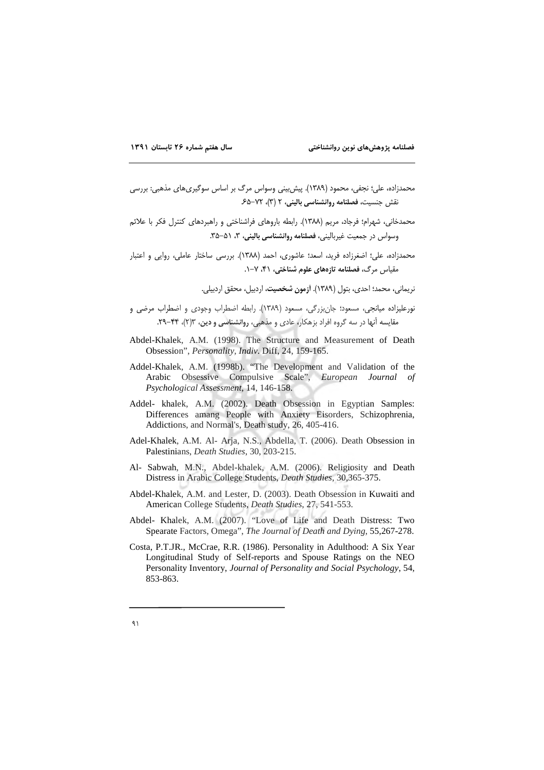- محمدزاده، علي؛ نجفي، محمود (١٣٨٩). پيش بيني وسواس مرگ بر اساس سوگيريهاي مذهبي: بررسي نقش جنسیت، فصلنامه روانشناسی بالینی، ۲ (۳)، ۷۲-۶۵
- محمدخانی، شهرام؛ فرجاد، مریم (۱۳۸۸). رابطه باروهای فراشناختی و راهبردهای کنترل فکر با علائم وسواس در جمعیت غیربالینی، فصلنامه روانشناسی بالینی، ۳، ۵۱-۳۵.
- محمدزاده، علي؛ اضغرزاده فريد، اسعد؛ عاشوري، احمد (١٣٨٨). بررسي ساختار عاملي، روايي و اعتبار مقیاس مرگ، **فصلنامه تازههای علوم شناخت**ی، ۴۱، ۷–۱.

نريماني، محمد؛ احدى، بتول (١٣٨٩). <mark>آزمون شخصيت،</mark> اردييل، محقق ارديبلي.

- نورعلیزاده میانجی، مسعود؛ جانبزرگی، مسعود (۱۳۸۹). رابطه اضطراب وجودی و اضطراب مرضی و مقایسه آنها در سه گروه افراد بزهکار، عادی و مذهبی، روانشناسی و دین، ۱۳(۲)، ۴۴–۲۹.
- Abdel-Khalek, A.M. (1998). The Structure and Measurement of Death Obsession", Personality, Indiv. Diff, 24, 159-165.
- Addel-Khalek, A.M. (1998b). "The Development and Validation of the Arabic Obsessive Compulsive Scale", European Journal of Psychological Assessment, 14, 146-158.
- Addel- khalek, A.M. (2002). Death Obsession in Egyptian Samples: Differences amang People with Anxiety Eisorders, Schizophrenia, Addictions, and Normal's, Death study, 26, 405-416.
- Adel-Khalek, A.M. Al- Arja, N.S., Abdella, T. (2006). Death Obsession in Palestinians, Death Studies, 30, 203-215.
- Al- Sabwah, M.N., Abdel-khalek, A.M. (2006). Religiosity and Death Distress in Arabic College Students, *Death Studies*, 30,365-375.
- Abdel-Khalek, A.M. and Lester, D. (2003). Death Obsession in Kuwaiti and American College Students, Death Studies, 27, 541-553.
- Abdel- Khalek, A.M. (2007). "Love of Life and Death Distress: Two Spearate Factors, Omega", The Journal of Death and Dying, 55,267-278.
- Costa, P.T.JR., McCrae, R.R. (1986). Personality in Adulthood: A Six Year Longitudinal Study of Self-reports and Spouse Ratings on the NEO Personality Inventory, Journal of Personality and Social Psychology, 54, 853-863.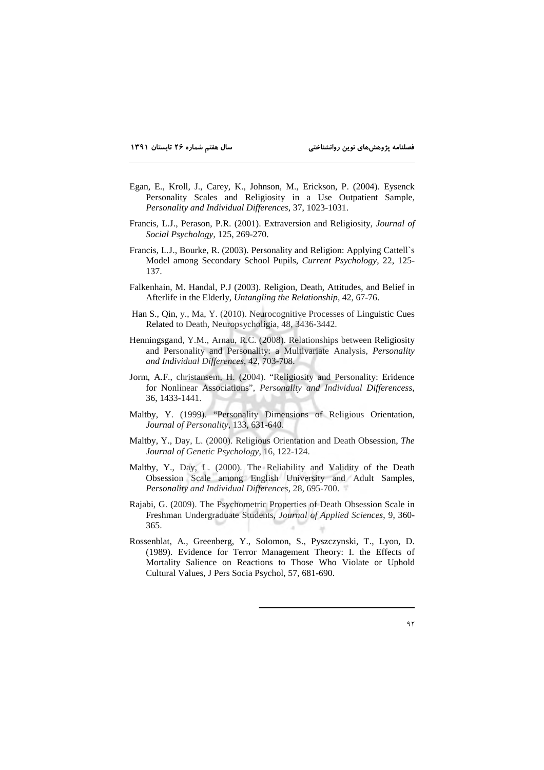- Egan, E., Kroll, J., Carey, K., Johnson, M., Erickson, P. (2004). Eysenck Personality Scales and Religiosity in a Use Outpatient Sample, Personality and Individual Differences, 37, 1023-1031.
- Francis, L.J., Perason, P.R. (2001). Extraversion and Religiosity, Journal of Social Psychology, 125, 269-270.
- Francis, L.J., Bourke, R. (2003). Personality and Religion: Applying Cattell's Model among Secondary School Pupils, Current Psychology, 22, 125-137.
- Falkenhain, M. Handal, P.J (2003). Religion, Death, Attitudes, and Belief in Afterlife in the Elderly, Untangling the Relationship, 42, 67-76.
- Han S., Qin, y., Ma, Y. (2010). Neurocognitive Processes of Linguistic Cues Related to Death, Neuropsycholigia, 48, 3436-3442.
- Henningsgand, Y.M., Arnau, R.C. (2008). Relationships between Religiosity and Personality and Personality: a Multivariate Analysis, Personality and Individual Differences, 42, 703-708.
- Jorm, A.F., christansem, H. (2004). "Religiosity and Personality: Eridence for Nonlinear Associations", Personality and Individual Differencess, 36, 1433-1441.
- Maltby, Y. (1999). "Personality Dimensions of Religious Orientation, Journal of Personality, 133, 631-640.
- Maltby, Y., Day, L. (2000). Religious Orientation and Death Obsession, The Journal of Genetic Psychology, 16, 122-124.
- Maltby, Y., Day, L. (2000). The Reliability and Validity of the Death Obsession Scale among English University and Adult Samples, Personality and Individual Differences, 28, 695-700.
- Rajabi, G. (2009). The Psychometric Properties of Death Obsession Scale in Freshman Undergraduate Students, Journal of Applied Sciences, 9, 360-365.
- Rossenblat, A., Greenberg, Y., Solomon, S., Pyszczynski, T., Lyon, D. (1989). Evidence for Terror Management Theory: I. the Effects of Mortality Salience on Reactions to Those Who Violate or Uphold Cultural Values, J Pers Socia Psychol, 57, 681-690.